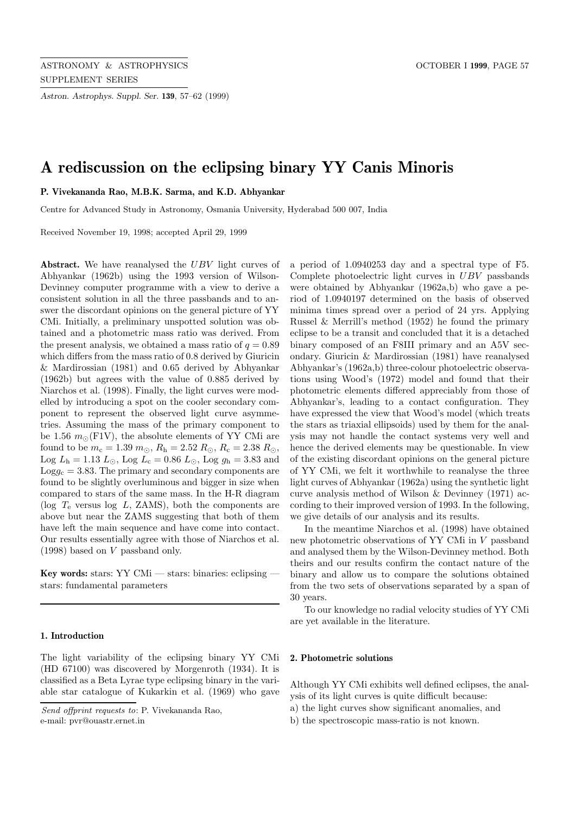*Astron. Astrophys. Suppl. Ser.* **139**, 57–62 (1999)

# **A rediscussion on the eclipsing binary YY Canis Minoris**

**P. Vivekananda Rao, M.B.K. Sarma, and K.D. Abhyankar**

Centre for Advanced Study in Astronomy, Osmania University, Hyderabad 500 007, India

Received November 19, 1998; accepted April 29, 1999

Abstract. We have reanalysed the UBV light curves of Abhyankar (1962b) using the 1993 version of Wilson-Devinney computer programme with a view to derive a consistent solution in all the three passbands and to answer the discordant opinions on the general picture of YY CMi. Initially, a preliminary unspotted solution was obtained and a photometric mass ratio was derived. From the present analysis, we obtained a mass ratio of  $q = 0.89$ which differs from the mass ratio of 0.8 derived by Giuricin & Mardirossian (1981) and 0.65 derived by Abhyankar (1962b) but agrees with the value of 0.885 derived by Niarchos et al. (1998). Finally, the light curves were modelled by introducing a spot on the cooler secondary component to represent the observed light curve asymmetries. Assuming the mass of the primary component to be 1.56  $m_{\odot}$ (F1V), the absolute elements of YY CMi are found to be  $m_c = 1.39 \, m_\odot, R_h = 2.52 \, R_\odot, R_c = 2.38 \, R_\odot,$ Log  $L_h = 1.13 L_{\odot}$ , Log  $L_c = 0.86 L_{\odot}$ , Log  $g_h = 3.83$  and  $\text{Log}g_c = 3.83$ . The primary and secondary components are found to be slightly overluminous and bigger in size when compared to stars of the same mass. In the H-R diagram (log  $T_e$  versus log L, ZAMS), both the components are above but near the ZAMS suggesting that both of them have left the main sequence and have come into contact. Our results essentially agree with those of Niarchos et al. (1998) based on V passband only.

**Key words:** stars: YY CMi — stars: binaries: eclipsing stars: fundamental parameters

# **1. Introduction**

The light variability of the eclipsing binary YY CMi (HD 67100) was discovered by Morgenroth (1934). It is classified as a Beta Lyrae type eclipsing binary in the variable star catalogue of Kukarkin et al. (1969) who gave a period of 1.0940253 day and a spectral type of F5. Complete photoelectric light curves in UBV passbands were obtained by Abhyankar (1962a,b) who gave a period of 1.0940197 determined on the basis of observed minima times spread over a period of 24 yrs. Applying Russel & Merrill's method (1952) he found the primary eclipse to be a transit and concluded that it is a detached binary composed of an F8III primary and an A5V secondary. Giuricin & Mardirossian (1981) have reanalysed Abhyankar's (1962a,b) three-colour photoelectric observations using Wood's (1972) model and found that their photometric elements differed appreciably from those of Abhyankar's, leading to a contact configuration. They have expressed the view that Wood's model (which treats the stars as triaxial ellipsoids) used by them for the analysis may not handle the contact systems very well and hence the derived elements may be questionable. In view of the existing discordant opinions on the general picture of YY CMi, we felt it worthwhile to reanalyse the three light curves of Abhyankar (1962a) using the synthetic light curve analysis method of Wilson & Devinney (1971) according to their improved version of 1993. In the following, we give details of our analysis and its results.

In the meantime Niarchos et al. (1998) have obtained new photometric observations of YY CMi in V passband and analysed them by the Wilson-Devinney method. Both theirs and our results confirm the contact nature of the binary and allow us to compare the solutions obtained from the two sets of observations separated by a span of 30 years.

To our knowledge no radial velocity studies of YY CMi are yet available in the literature.

## **2. Photometric solutions**

Although YY CMi exhibits well defined eclipses, the analysis of its light curves is quite difficult because: a) the light curves show significant anomalies, and

b) the spectroscopic mass-ratio is not known.

Send offprint requests to: P. Vivekananda Rao, e-mail: pvr@ouastr.ernet.in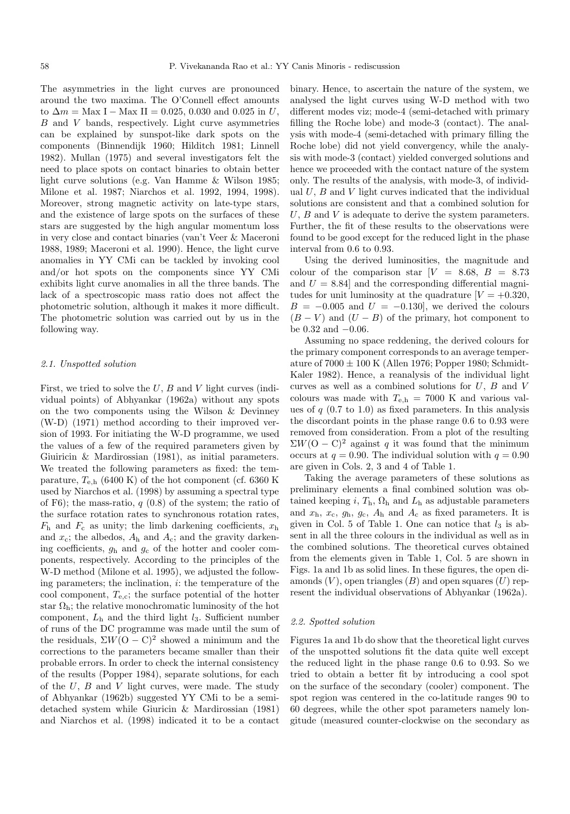The asymmetries in the light curves are pronounced around the two maxima. The O'Connell effect amounts to  $\Delta m =$  Max I – Max II = 0.025, 0.030 and 0.025 in U, B and V bands, respectively. Light curve asymmetries can be explained by sunspot-like dark spots on the components (Binnendijk 1960; Hilditch 1981; Linnell 1982). Mullan (1975) and several investigators felt the need to place spots on contact binaries to obtain better light curve solutions (e.g. Van Hamme & Wilson 1985; Milone et al. 1987; Niarchos et al. 1992, 1994, 1998). Moreover, strong magnetic activity on late-type stars, and the existence of large spots on the surfaces of these stars are suggested by the high angular momentum loss in very close and contact binaries (van't Veer & Maceroni 1988, 1989; Maceroni et al. 1990). Hence, the light curve anomalies in YY CMi can be tackled by invoking cool and/or hot spots on the components since YY CMi exhibits light curve anomalies in all the three bands. The lack of a spectroscopic mass ratio does not affect the photometric solution, although it makes it more difficult. The photometric solution was carried out by us in the following way.

## 2.1. Unspotted solution

First, we tried to solve the  $U, B$  and  $V$  light curves (individual points) of Abhyankar (1962a) without any spots on the two components using the Wilson & Devinney (W-D) (1971) method according to their improved version of 1993. For initiating the W-D programme, we used the values of a few of the required parameters given by Giuiricin & Mardirossian (1981), as initial parameters. We treated the following parameters as fixed: the temparature,  $T_{\text{e,h}}$  (6400 K) of the hot component (cf. 6360 K) used by Niarchos et al. (1998) by assuming a spectral type of F6); the mass-ratio,  $q(0.8)$  of the system; the ratio of the surface rotation rates to synchronous rotation rates,  $F<sub>h</sub>$  and  $F<sub>c</sub>$  as unity; the limb darkening coefficients,  $x<sub>h</sub>$ and  $x_c$ ; the albedos,  $A_h$  and  $A_c$ ; and the gravity darkening coefficients,  $g_h$  and  $g_c$  of the hotter and cooler components, respectively. According to the principles of the W-D method (Milone et al. 1995), we adjusted the following parameters; the inclination,  $i$ : the temperature of the cool component,  $T_{e,c}$ ; the surface potential of the hotter star  $\Omega_h$ ; the relative monochromatic luminosity of the hot component,  $L<sub>h</sub>$  and the third light  $l<sub>3</sub>$ . Sufficient number of runs of the DC programme was made until the sum of the residuals,  $\Sigma W(\overline{O} - \overline{C})^2$  showed a minimum and the corrections to the parameters became smaller than their probable errors. In order to check the internal consistency of the results (Popper 1984), separate solutions, for each of the  $U, B$  and  $V$  light curves, were made. The study of Abhyankar (1962b) suggested YY CMi to be a semidetached system while Giuricin & Mardirossian (1981) and Niarchos et al. (1998) indicated it to be a contact

binary. Hence, to ascertain the nature of the system, we analysed the light curves using W-D method with two different modes viz; mode-4 (semi-detached with primary filling the Roche lobe) and mode-3 (contact). The analysis with mode-4 (semi-detached with primary filling the Roche lobe) did not yield convergency, while the analysis with mode-3 (contact) yielded converged solutions and hence we proceeded with the contact nature of the system only. The results of the analysis, with mode-3, of individual  $U, B$  and  $V$  light curves indicated that the individual solutions are consistent and that a combined solution for  $U, B$  and  $V$  is adequate to derive the system parameters. Further, the fit of these results to the observations were found to be good except for the reduced light in the phase interval from 0.6 to 0.93.

Using the derived luminosities, the magnitude and colour of the comparison star  $[V = 8.68, B = 8.73]$ and  $U = 8.84$  and the corresponding differential magnitudes for unit luminosity at the quadrature  $[V = +0.320,$  $B = -0.005$  and  $U = -0.130$ , we derived the colours  $(B - V)$  and  $(U - B)$  of the primary, hot component to be 0.32 and −0.06.

Assuming no space reddening, the derived colours for the primary component corresponds to an average temperature of  $7000 \pm 100$  K (Allen 1976; Popper 1980; Schmidt-Kaler 1982). Hence, a reanalysis of the individual light curves as well as a combined solutions for  $U, B$  and  $V$ colours was made with  $T_{e,h} = 7000$  K and various values of  $q$  (0.7 to 1.0) as fixed parameters. In this analysis the discordant points in the phase range 0.6 to 0.93 were removed from consideration. From a plot of the resulting  $\Sigma W(\overline{O} - C)^2$  against q it was found that the minimum occurs at  $q = 0.90$ . The individual solution with  $q = 0.90$ are given in Cols. 2, 3 and 4 of Table 1.

Taking the average parameters of these solutions as preliminary elements a final combined solution was obtained keeping i,  $T<sub>h</sub>$ ,  $\Omega<sub>h</sub>$  and  $L<sub>h</sub>$  as adjustable parameters and  $x_h$ ,  $x_c$ ,  $g_h$ ,  $g_c$ ,  $A_h$  and  $A_c$  as fixed parameters. It is given in Col. 5 of Table 1. One can notice that  $l_3$  is absent in all the three colours in the individual as well as in the combined solutions. The theoretical curves obtained from the elements given in Table 1, Col. 5 are shown in Figs. 1a and 1b as solid lines. In these figures, the open diamonds  $(V)$ , open triangles  $(B)$  and open squares  $(U)$  represent the individual observations of Abhyankar (1962a).

## 2.2. Spotted solution

Figures 1a and 1b do show that the theoretical light curves of the unspotted solutions fit the data quite well except the reduced light in the phase range 0.6 to 0.93. So we tried to obtain a better fit by introducing a cool spot on the surface of the secondary (cooler) component. The spot region was centered in the co-latitude ranges 90 to 60 degrees, while the other spot parameters namely longitude (measured counter-clockwise on the secondary as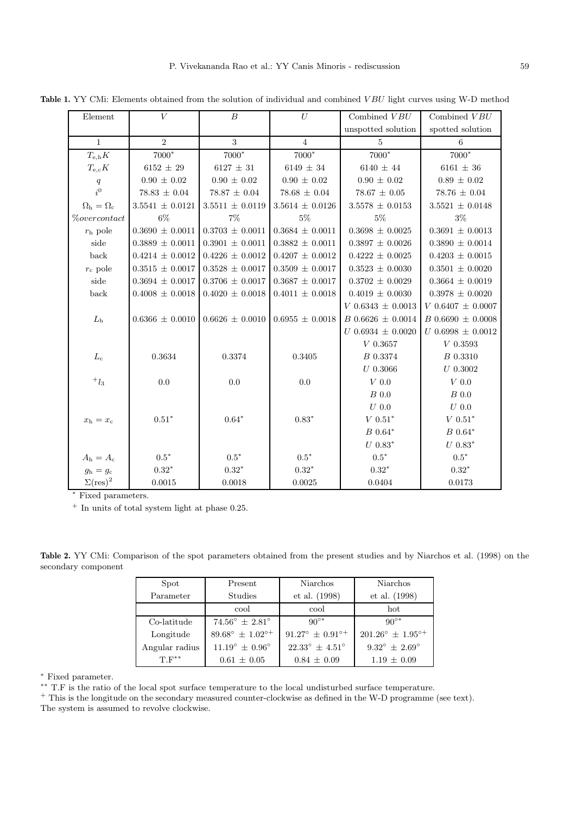| Element                         | $\bar{V}$             | $\overline{B}$          | U                     | Combined $VBU$           | Combined VBU             |
|---------------------------------|-----------------------|-------------------------|-----------------------|--------------------------|--------------------------|
|                                 |                       |                         |                       | unspotted solution       | spotted solution         |
| $\mathbf{1}$                    | $\overline{2}$        | 3                       | $\overline{4}$        | 5                        | 6                        |
| $T_{\rm e,h}K$                  | 7000*                 | 7000*                   | $7000*$               | 7000*                    | 7000*                    |
| $T_{\rm e,c}K$                  | $6152 \pm 29$         | $6127 \pm 31$           | $6149\,\pm\,34$       | $6140\,\pm\,44$          | $6161\,\pm\,36$          |
| $\boldsymbol{q}$                | $0.90 \pm 0.02$       | $0.90 \pm 0.02$         | $0.90 \pm 0.02$       | $0.90 \pm 0.02$          | $0.89 \pm 0.02$          |
| $\overline{i}^0$                | $78.83 \pm 0.04$      | $78.87 \pm 0.04$        | $78.68 \pm 0.04$      | $78.67 \pm 0.05$         | $78.76 \pm 0.04$         |
| $\Omega_{\rm h}=\Omega_{\rm c}$ | $3.5541\,\pm\,0.0121$ | $3.5511 \pm 0.0119$     | $3.5614 \pm 0.0126$   | $3.5578 \pm 0.0153$      | $3.5521 \pm 0.0148$      |
| % overcontact                   | $6\%$                 | $7\%$                   | $5\%$                 | $5\%$                    | $3\%$                    |
| $r_{\rm h}$ pole                | $0.3690 \pm 0.0011$   | $0.3703 \pm 0.0011$     | $0.3684 \pm 0.0011$   | $0.3698 \pm 0.0025$      | $0.3691 \pm 0.0013$      |
| side                            | $0.3889 \pm 0.0011$   | $0.3901 \pm 0.0011$     | $0.3882 \pm 0.0011$   | $0.3897 \pm 0.0026$      | $0.3890 \pm 0.0014$      |
| back                            | $0.4214 \pm 0.0012$   | $0.4226 \pm 0.0012$     | $0.4207 \pm 0.0012$   | $0.4222 \pm 0.0025$      | $0.4203 \pm 0.0015$      |
| $r_c$ pole                      | $0.3515 \pm 0.0017$   | $0.3528 \pm 0.0017$     | $0.3509 \pm 0.0017$   | $0.3523 \pm 0.0030$      | $0.3501 \pm 0.0020$      |
| side                            | $0.3694 \pm 0.0017$   | $0.3706 \,\pm\, 0.0017$ | $0.3687\,\pm\,0.0017$ | $0.3702 \,\pm\, 0.0029$  | $0.3664 \pm 0.0019$      |
| back                            | $0.4008 \pm 0.0018$   | $0.4020 \pm 0.0018$     | $0.4011 \pm 0.0018$   | $0.4019 \pm 0.0030$      | $0.3978 \pm 0.0020$      |
|                                 |                       |                         |                       | $V$ 0.6343 $\pm$ 0.0013  | $V 0.6407 \pm 0.0007$    |
| $L_{\rm h}$                     | $0.6366 \pm 0.0010$   | $0.6626 \pm 0.0010$     | $0.6955 \pm 0.0018$   | $B\,0.6626\,\pm\,0.0014$ | $B\,0.6690\,\pm\,0.0008$ |
|                                 |                       |                         |                       | $U\ 0.6934\,\pm\,0.0020$ | $U\ 0.6998\,\pm\,0.0012$ |
|                                 |                       |                         |                       | $V\ 0.3657$              | ${\cal V}$ 0.3593        |
| $L_{\rm c}$                     | 0.3634                | 0.3374                  | 0.3405                | B 0.3374                 | B 0.3310                 |
|                                 |                       |                         |                       | $U\;0.3066$              | $U\,0.3002$              |
| $^+\mathcal l_3$                | 0.0                   | 0.0                     | 0.0                   | $V\;0.0$                 | $V$ 0.0                  |
|                                 |                       |                         |                       | $B$ 0.0                  | $B$ 0.0                  |
|                                 |                       |                         |                       | $U\ 0.0$                 | $U\ 0.0$                 |
| $x_{\rm h} = x_{\rm c}$         | $0.51^{\ast}$         | $0.64*$                 | $0.83*$               | $V\ 0.51^*$              | $V 0.51*$                |
|                                 |                       |                         |                       | $\cal B$ 0.64*           | $\cal B$ 0.64*           |
|                                 |                       |                         |                       | $U\ 0.83^*$              | $U\ 0.83*$               |
| $A_{\rm h}=A_{\rm c}$           | $0.5^\ast$            | $0.5^{\ast}$            | $0.5^{\ast}$          | $0.5^{\ast}$             | $0.5^\ast$               |
| $g_{\rm h}=g_{\rm c}$           | $0.32*$               | $0.32*$                 | $0.32*$               | $0.32^{\ast}$            | $0.32*$                  |
| $\Sigma(\text{res})^2$          | 0.0015                | 0.0018                  | 0.0025                | 0.0404                   | 0.0173                   |

Table 1. YY CMi: Elements obtained from the solution of individual and combined VBU light curves using W-D method

 $\overline{\text{Fixed parameters}}.$ 

 $^{\mathrm{+}}$  In units of total system light at phase 0.25.

**Table 2.** YY CMi: Comparison of the spot parameters obtained from the present studies and by Niarchos et al. (1998) on the secondary component

| Spot           | Present                            | <b>Niarchos</b>                 | <b>Niarchos</b>                    |
|----------------|------------------------------------|---------------------------------|------------------------------------|
| Parameter      | <b>Studies</b>                     | et al. (1998)                   | et al. (1998)                      |
|                | cool                               | cool                            | hot                                |
| Co-latitude    | $74.56^{\circ} + 2.81^{\circ}$     | $90^{\circ*}$                   | $90^{\circ*}$                      |
| Longitude      | $89.68^{\circ} \pm 1.02^{\circ +}$ | $91.27^{\circ} + 0.91^{\circ+}$ | $201.26^{\circ} \pm 1.95^{\circ+}$ |
| Angular radius | $11.19^{\circ} + 0.96^{\circ}$     | $22.33^{\circ} + 4.51^{\circ}$  | $9.32^{\circ} + 2.69^{\circ}$      |
| $T.F^{**}$     | $0.61 \pm 0.05$                    | $0.84 \pm 0.09$                 | $1.19 \pm 0.09$                    |

<sup>∗</sup> Fixed parameter.

∗∗ T.F is the ratio of the local spot surface temperature to the local undisturbed surface temperature.

<sup>+</sup> This is the longitude on the secondary measured counter-clockwise as defined in the W-D programme (see text).

The system is assumed to revolve clockwise.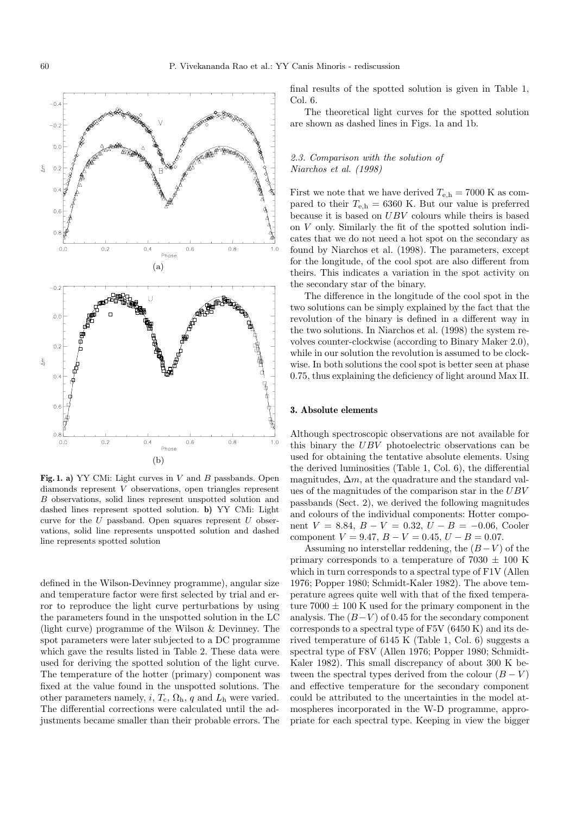

Fig. 1. a) YY CMi: Light curves in V and B passbands. Open diamonds represent V observations, open triangles represent B observations, solid lines represent unspotted solution and dashed lines represent spotted solution. **b)** YY CMi: Light curve for the  $U$  passband. Open squares represent  $U$  observations, solid line represents unspotted solution and dashed line represents spotted solution

defined in the Wilson-Devinney programme), angular size and temperature factor were first selected by trial and error to reproduce the light curve perturbations by using the parameters found in the unspotted solution in the LC (light curve) programme of the Wilson & Devinney. The spot parameters were later subjected to a DC programme which gave the results listed in Table 2. These data were used for deriving the spotted solution of the light curve. The temperature of the hotter (primary) component was fixed at the value found in the unspotted solutions. The other parameters namely, i,  $T_c$ ,  $\Omega_h$ , q and  $L_h$  were varied. The differential corrections were calculated until the adjustments became smaller than their probable errors. The

final results of the spotted solution is given in Table 1,  $Col<sub>6</sub>$ 

The theoretical light curves for the spotted solution are shown as dashed lines in Figs. 1a and 1b.

## 2.3. Comparison with the solution of Niarchos et al. (1998)

First we note that we have derived  $T_{e,h} = 7000$  K as compared to their  $T_{e,h} = 6360$  K. But our value is preferred because it is based on UBV colours while theirs is based on V only. Similarly the fit of the spotted solution indicates that we do not need a hot spot on the secondary as found by Niarchos et al. (1998). The parameters, except for the longitude, of the cool spot are also different from theirs. This indicates a variation in the spot activity on the secondary star of the binary.

The difference in the longitude of the cool spot in the two solutions can be simply explained by the fact that the revolution of the binary is defined in a different way in the two solutions. In Niarchos et al. (1998) the system revolves counter-clockwise (according to Binary Maker 2.0), while in our solution the revolution is assumed to be clockwise. In both solutions the cool spot is better seen at phase 0.75, thus explaining the deficiency of light around Max II.

## **3. Absolute elements**

Although spectroscopic observations are not available for this binary the UBV photoelectric observations can be used for obtaining the tentative absolute elements. Using the derived luminosities (Table 1, Col. 6), the differential magnitudes,  $\Delta m$ , at the quadrature and the standard values of the magnitudes of the comparison star in the UBV passbands (Sect. 2), we derived the following magnitudes and colours of the individual components: Hotter component  $V = 8.84, B - V = 0.32, U - B = -0.06$ , Cooler component  $V = 9.47$ ,  $B - V = 0.45$ ,  $U - B = 0.07$ .

Assuming no interstellar reddening, the  $(B-V)$  of the primary corresponds to a temperature of  $7030 \pm 100$  K which in turn corresponds to a spectral type of F1V (Allen 1976; Popper 1980; Schmidt-Kaler 1982). The above temperature agrees quite well with that of the fixed temperature 7000  $\pm$  100 K used for the primary component in the analysis. The  $(B-V)$  of 0.45 for the secondary component corresponds to a spectral type of F5V (6450 K) and its derived temperature of 6145 K (Table 1, Col. 6) suggests a spectral type of F8V (Allen 1976; Popper 1980; Schmidt-Kaler 1982). This small discrepancy of about 300 K between the spectral types derived from the colour  $(B - V)$ and effective temperature for the secondary component could be attributed to the uncertainties in the model atmospheres incorporated in the W-D programme, appropriate for each spectral type. Keeping in view the bigger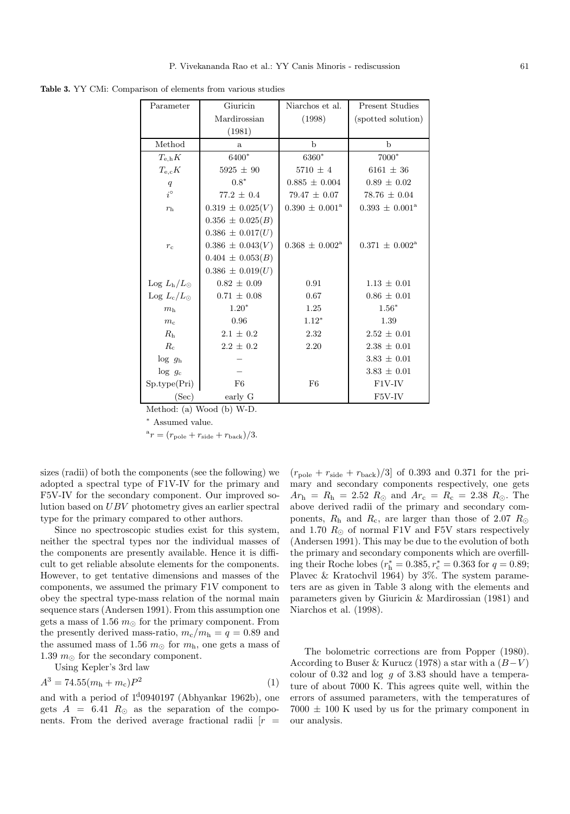**Table 3.** YY CMi: Comparison of elements from various studies

| Parameter                            | Giuricin             | Niarchos et al.              | <b>Present Studies</b>       |
|--------------------------------------|----------------------|------------------------------|------------------------------|
|                                      | Mardirossian         | (1998)                       | (spotted solution)           |
|                                      | (1981)               |                              |                              |
| Method                               | $\mathbf{a}$         | $\mathbf b$                  | $\mathbf b$                  |
| $T_{\rm e,h}K$                       | 6400*                | 6360*                        | 7000*                        |
| $T_{\rm e,c}K$                       | $5925 \pm 90$        | $5710 \pm 4$                 | 6161 $\pm$ 36                |
| q                                    | $0.8*$               | $0.885 \pm 0.004$            | $0.89 \pm 0.02$              |
| $i^{\circ}$                          | $77.2 \pm 0.4$       | $79.47 \pm 0.07$             | $78.76 \pm 0.04$             |
| r <sub>h</sub>                       | $0.319 \pm 0.025(V)$ | $0.390 \pm 0.001^{\text{a}}$ | $0.393 \pm 0.001^{\text{a}}$ |
|                                      | $0.356 \pm 0.025(B)$ |                              |                              |
|                                      | $0.386 \pm 0.017(U)$ |                              |                              |
| $r_{c}$                              | $0.386 \pm 0.043(V)$ | $0.368 \pm 0.002^{\rm a}$    | $0.371 \pm 0.002^{\text{a}}$ |
|                                      | $0.404 \pm 0.053(B)$ |                              |                              |
|                                      | $0.386 \pm 0.019(U)$ |                              |                              |
| $\text{Log } L_{\text{h}}/L_{\odot}$ | $0.82 \pm 0.09$      | 0.91                         | $1.13 \pm 0.01$              |
| Log $L_c/L_{\odot}$                  | $0.71 \pm 0.08$      | 0.67                         | $0.86 \pm 0.01$              |
| m <sub>h</sub>                       | $1.20*$              | 1.25                         | $1.56*$                      |
| m <sub>c</sub>                       | 0.96                 | $1.12*$                      | 1.39                         |
| R <sub>h</sub>                       | $2.1 \pm 0.2$        | $2.32\,$                     | $2.52 \pm 0.01$              |
| $R_c$                                | $2.2 \pm 0.2$        | 2.20                         | $2.38 \pm 0.01$              |
| $\log g_h$                           |                      |                              | $3.83 \pm 0.01$              |
| $\log g_c$                           |                      |                              | $3.83 \pm 0.01$              |
| Sp.type(Pri)                         | F <sub>6</sub>       | F <sub>6</sub>               | F1V-IV                       |
| (Sec)                                | early G              |                              | F5V-IV                       |

Method: (a) Wood (b) W-D.

<sup>∗</sup> Assumed value.

 $^a r = (r_{\text{pole}} + r_{\text{side}} + r_{\text{back}})/3.$ 

sizes (radii) of both the components (see the following) we adopted a spectral type of F1V-IV for the primary and F5V-IV for the secondary component. Our improved solution based on UBV photometry gives an earlier spectral type for the primary compared to other authors.

Since no spectroscopic studies exist for this system, neither the spectral types nor the individual masses of the components are presently available. Hence it is difficult to get reliable absolute elements for the components. However, to get tentative dimensions and masses of the components, we assumed the primary F1V component to obey the spectral type-mass relation of the normal main sequence stars (Andersen 1991). From this assumption one gets a mass of 1.56  $m_{\odot}$  for the primary component. From the presently derived mass-ratio,  $m_c/m_h = q = 0.89$  and the assumed mass of 1.56  $m_{\odot}$  for  $m_{\rm h}$ , one gets a mass of 1.39  $m_{\odot}$  for the secondary component.

Using Kepler's 3rd law

$$
A^3 = 74.55(m_h + m_c)P^2
$$
 (1)

and with a period of  $1<sup>d</sup>0940197$  (Abhyankar 1962b), one gets  $A = 6.41 R_{\odot}$  as the separation of the components. From the derived average fractional radii  $[r]$   $(r_{\text{pole}} + r_{\text{side}} + r_{\text{back}})/3$ ] of 0.393 and 0.371 for the primary and secondary components respectively, one gets  $Ar<sub>h</sub> = R<sub>h</sub> = 2.52 R<sub>\odot</sub>$  and  $Ar<sub>c</sub> = R<sub>c</sub> = 2.38 R<sub>\odot</sub>$ . The above derived radii of the primary and secondary components,  $R_h$  and  $R_c$ , are larger than those of 2.07  $R_{\odot}$ and 1.70  $R_{\odot}$  of normal F1V and F5V stars respectively (Andersen 1991). This may be due to the evolution of both the primary and secondary components which are overfilling their Roche lobes  $(r_h^* = 0.385, r_c^* = 0.363$  for  $q = 0.89$ ; Plavec & Kratochvil 1964) by 3%. The system parameters are as given in Table 3 along with the elements and parameters given by Giuricin & Mardirossian (1981) and Niarchos et al. (1998).

The bolometric corrections are from Popper (1980). According to Buser & Kurucz (1978) a star with a  $(B-V)$ colour of 0.32 and log  $g$  of 3.83 should have a temperature of about 7000 K. This agrees quite well, within the errors of assumed parameters, with the temperatures of  $7000 \pm 100$  K used by us for the primary component in our analysis.